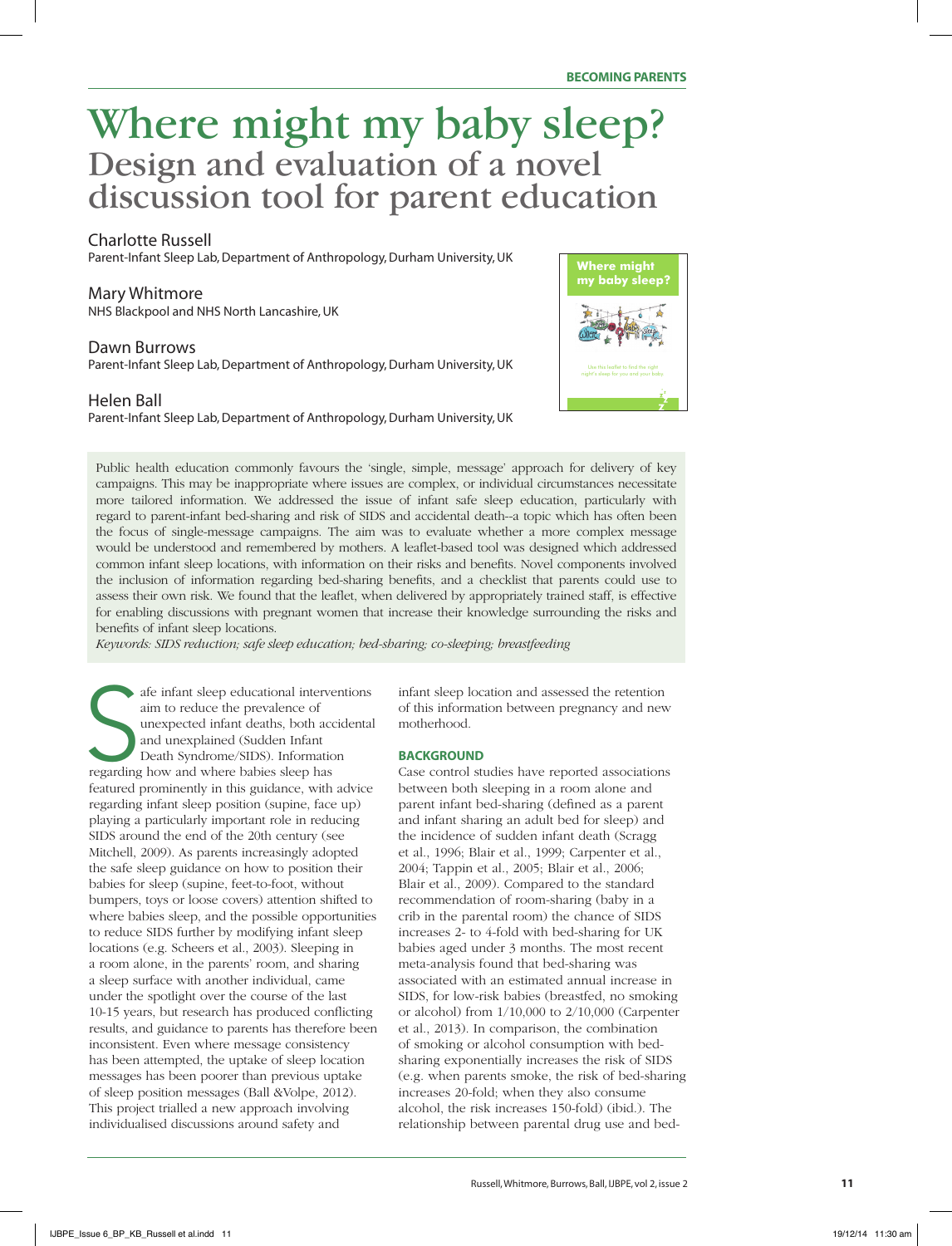# Where might my baby sleep? Design and evaluation of a novel discussion tool for parent education

# Charlotte Russell

Parent-Infant Sleep Lab, Department of Anthropology, Durham University, UK

# Mary Whitmore

NHS Blackpool and NHS North Lancashire, UK

# Dawn Burrows

Parent-Infant Sleep Lab, Department of Anthropology, Durham University, UK

# Helen Ball

Parent-Infant Sleep Lab, Department of Anthropology, Durham University, UK



Public health education commonly favours the 'single, simple, message' approach for delivery of key campaigns. This may be inappropriate where issues are complex, or individual circumstances necessitate more tailored information. We addressed the issue of infant safe sleep education, particularly with regard to parent-infant bed-sharing and risk of SIDS and accidental death--a topic which has often been the focus of single-message campaigns. The aim was to evaluate whether a more complex message would be understood and remembered by mothers. A leaflet-based tool was designed which addressed common infant sleep locations, with information on their risks and benefits. Novel components involved the inclusion of information regarding bed-sharing benefits, and a checklist that parents could use to assess their own risk. We found that the leaflet, when delivered by appropriately trained staff, is effective for enabling discussions with pregnant women that increase their knowledge surrounding the risks and benefits of infant sleep locations.

*Keywords: SIDS reduction; safe sleep education; bed-sharing; co-sleeping; breastfeeding*

afe infant sleep educational interve<br>aim to reduce the prevalence of<br>unexpected infant deaths, both acc<br>and unexplained (Sudden Infant<br>Death Syndrome/SIDS). Informatio<br>regarding how and where babies sleep has afe infant sleep educational interventions aim to reduce the prevalence of unexpected infant deaths, both accidental and unexplained (Sudden Infant Death Syndrome/SIDS). Information featured prominently in this guidance, with advice regarding infant sleep position (supine, face up) playing a particularly important role in reducing SIDS around the end of the 20th century (see Mitchell, 2009). As parents increasingly adopted the safe sleep guidance on how to position their babies for sleep (supine, feet-to-foot, without bumpers, toys or loose covers) attention shifted to where babies sleep, and the possible opportunities to reduce SIDS further by modifying infant sleep locations (e.g. Scheers et al., 2003). Sleeping in a room alone, in the parents' room, and sharing a sleep surface with another individual, came under the spotlight over the course of the last 10-15 years, but research has produced conflicting results, and guidance to parents has therefore been inconsistent. Even where message consistency has been attempted, the uptake of sleep location messages has been poorer than previous uptake of sleep position messages (Ball &Volpe, 2012). This project trialled a new approach involving individualised discussions around safety and

infant sleep location and assessed the retention of this information between pregnancy and new motherhood.

#### **BACKGROUND**

Case control studies have reported associations between both sleeping in a room alone and parent infant bed-sharing (defined as a parent and infant sharing an adult bed for sleep) and the incidence of sudden infant death (Scragg et al., 1996; Blair et al., 1999; Carpenter et al., 2004; Tappin et al., 2005; Blair et al., 2006; Blair et al., 2009). Compared to the standard recommendation of room-sharing (baby in a crib in the parental room) the chance of SIDS increases 2- to 4-fold with bed-sharing for UK babies aged under 3 months. The most recent meta-analysis found that bed-sharing was associated with an estimated annual increase in SIDS, for low-risk babies (breastfed, no smoking or alcohol) from 1/10,000 to 2/10,000 (Carpenter et al., 2013). In comparison, the combination of smoking or alcohol consumption with bedsharing exponentially increases the risk of SIDS (e.g. when parents smoke, the risk of bed-sharing increases 20-fold; when they also consume alcohol, the risk increases 150-fold) (ibid.). The relationship between parental drug use and bed-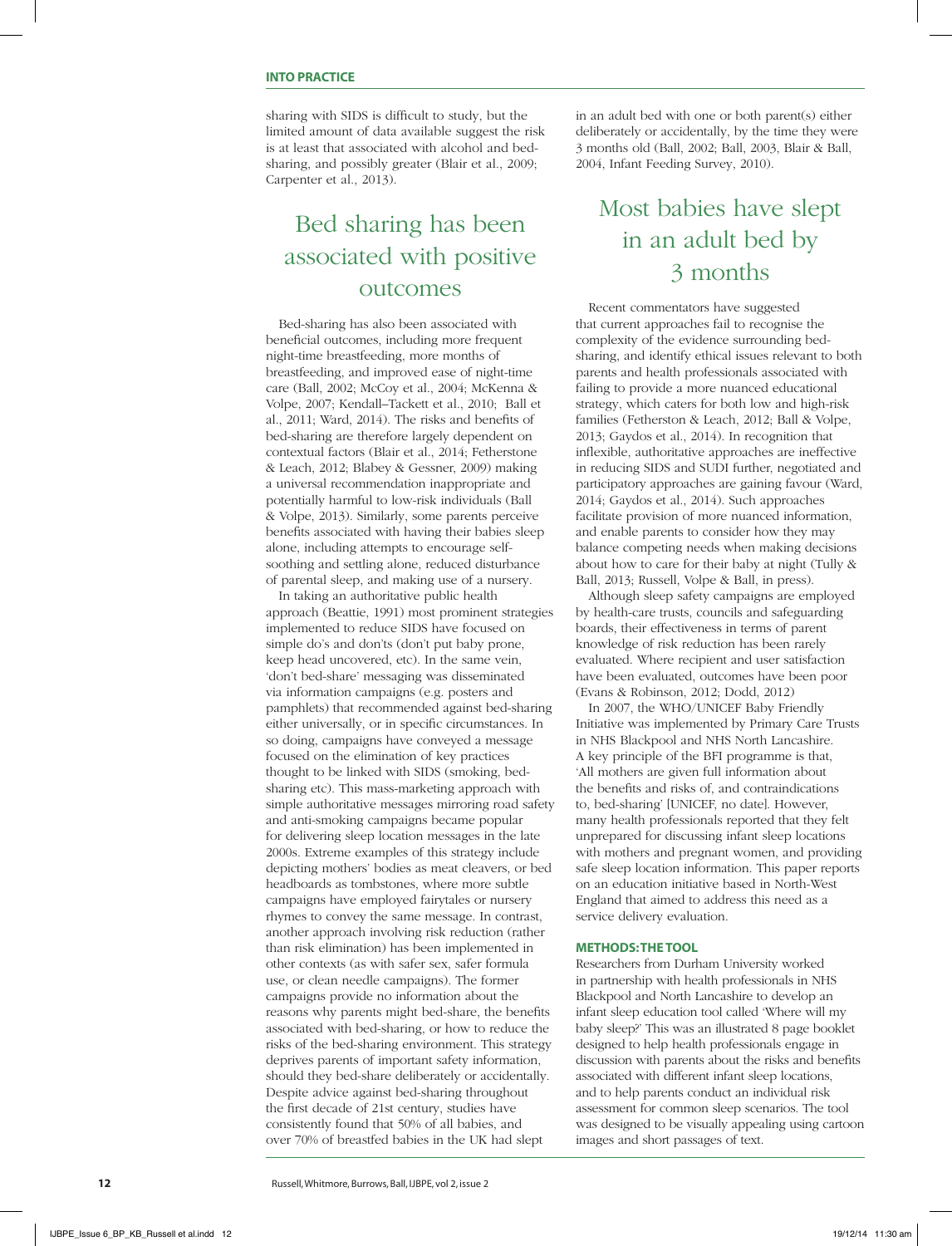sharing with SIDS is difficult to study, but the limited amount of data available suggest the risk is at least that associated with alcohol and bedsharing, and possibly greater (Blair et al., 2009; Carpenter et al., 2013).

# Bed sharing has been associated with positive outcomes

Bed-sharing has also been associated with beneficial outcomes, including more frequent night-time breastfeeding, more months of breastfeeding, and improved ease of night-time care (Ball, 2002; McCoy et al., 2004; McKenna & Volpe, 2007; Kendall–Tackett et al., 2010; Ball et al., 2011; Ward, 2014). The risks and benefits of bed-sharing are therefore largely dependent on contextual factors (Blair et al., 2014; Fetherstone & Leach, 2012; Blabey & Gessner, 2009) making a universal recommendation inappropriate and potentially harmful to low-risk individuals (Ball & Volpe, 2013). Similarly, some parents perceive benefits associated with having their babies sleep alone, including attempts to encourage selfsoothing and settling alone, reduced disturbance of parental sleep, and making use of a nursery.

In taking an authoritative public health approach (Beattie, 1991) most prominent strategies implemented to reduce SIDS have focused on simple do's and don'ts (don't put baby prone, keep head uncovered, etc). In the same vein, 'don't bed-share' messaging was disseminated via information campaigns (e.g. posters and pamphlets) that recommended against bed-sharing either universally, or in specific circumstances. In so doing, campaigns have conveyed a message focused on the elimination of key practices thought to be linked with SIDS (smoking, bedsharing etc). This mass-marketing approach with simple authoritative messages mirroring road safety and anti-smoking campaigns became popular for delivering sleep location messages in the late 2000s. Extreme examples of this strategy include depicting mothers' bodies as meat cleavers, or bed headboards as tombstones, where more subtle campaigns have employed fairytales or nursery rhymes to convey the same message. In contrast, another approach involving risk reduction (rather than risk elimination) has been implemented in other contexts (as with safer sex, safer formula use, or clean needle campaigns). The former campaigns provide no information about the reasons why parents might bed-share, the benefits associated with bed-sharing, or how to reduce the risks of the bed-sharing environment. This strategy deprives parents of important safety information, should they bed-share deliberately or accidentally. Despite advice against bed-sharing throughout the first decade of 21st century, studies have consistently found that 50% of all babies, and over 70% of breastfed babies in the UK had slept

in an adult bed with one or both parent(s) either deliberately or accidentally, by the time they were 3 months old (Ball, 2002; Ball, 2003, Blair & Ball, 2004, Infant Feeding Survey, 2010).

# Most babies have slept in an adult bed by 3 months

Recent commentators have suggested that current approaches fail to recognise the complexity of the evidence surrounding bedsharing, and identify ethical issues relevant to both parents and health professionals associated with failing to provide a more nuanced educational strategy, which caters for both low and high-risk families (Fetherston & Leach, 2012; Ball & Volpe, 2013; Gaydos et al., 2014). In recognition that inflexible, authoritative approaches are ineffective in reducing SIDS and SUDI further, negotiated and participatory approaches are gaining favour (Ward, 2014; Gaydos et al., 2014). Such approaches facilitate provision of more nuanced information, and enable parents to consider how they may balance competing needs when making decisions about how to care for their baby at night (Tully & Ball, 2013; Russell, Volpe & Ball, in press).

Although sleep safety campaigns are employed by health-care trusts, councils and safeguarding boards, their effectiveness in terms of parent knowledge of risk reduction has been rarely evaluated. Where recipient and user satisfaction have been evaluated, outcomes have been poor (Evans & Robinson, 2012; Dodd, 2012)

In 2007, the WHO/UNICEF Baby Friendly Initiative was implemented by Primary Care Trusts in NHS Blackpool and NHS North Lancashire. A key principle of the BFI programme is that, 'All mothers are given full information about the benefits and risks of, and contraindications to, bed-sharing' [UNICEF, no date]. However, many health professionals reported that they felt unprepared for discussing infant sleep locations with mothers and pregnant women, and providing safe sleep location information. This paper reports on an education initiative based in North-West England that aimed to address this need as a service delivery evaluation.

#### **METHODS: THE TOOL**

Researchers from Durham University worked in partnership with health professionals in NHS Blackpool and North Lancashire to develop an infant sleep education tool called 'Where will my baby sleep?' This was an illustrated 8 page booklet designed to help health professionals engage in discussion with parents about the risks and benefits associated with different infant sleep locations, and to help parents conduct an individual risk assessment for common sleep scenarios. The tool was designed to be visually appealing using cartoon images and short passages of text.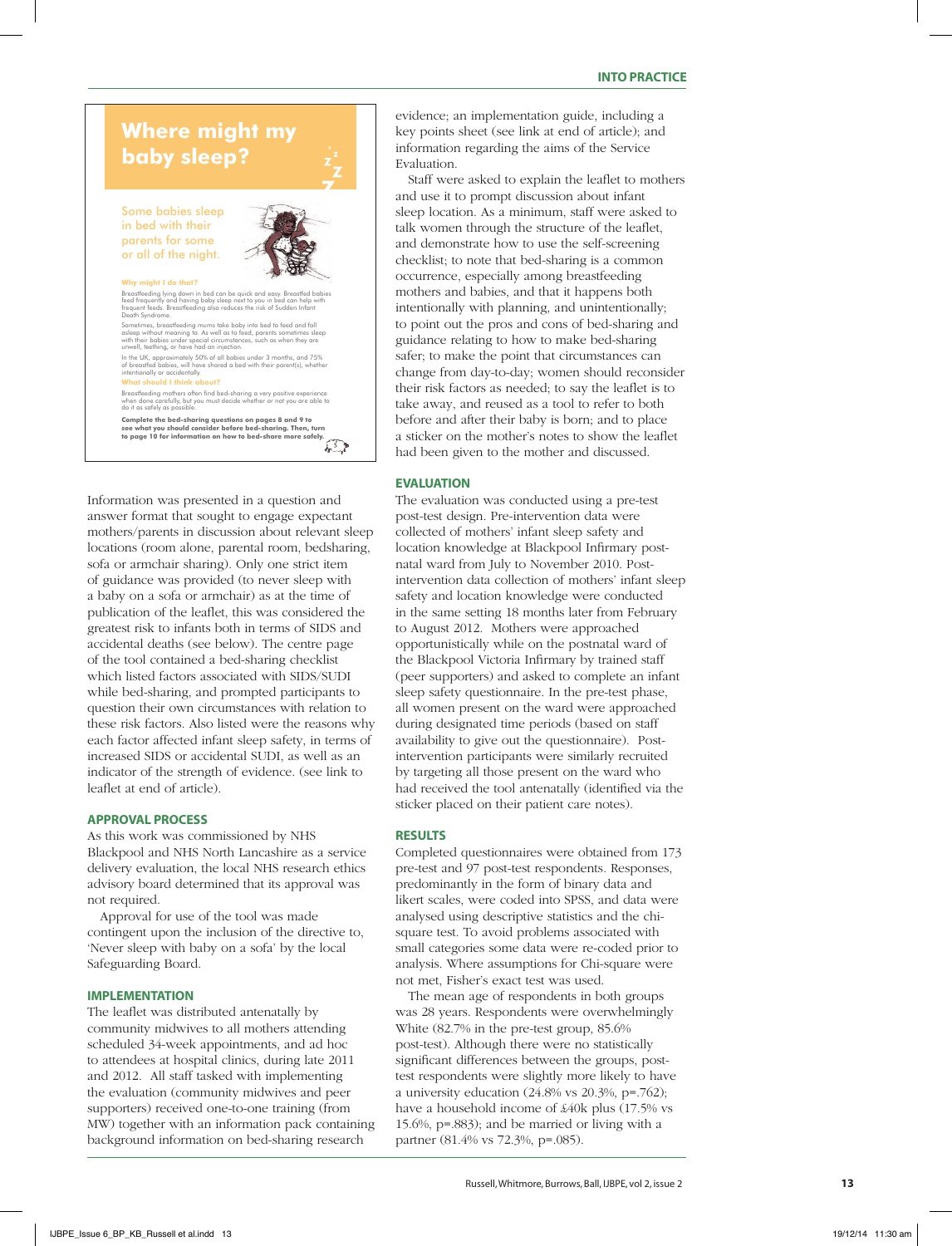# **Where might my baby sleep?**

Some babies sleep in bed with their parents for some or all of the night.



#### **Why might I do that?**

Breastfeeding lying down in bed can be quick and easy. Breastfed babies<br>feed frequently and having baby sleep next to you in bed can help with<br>frequent feeds. Breastfeeding also reduces the risk of Sudden Infant<br>Death Synd Sometimes, breastfeeding mums take baby into bed to feed and fall

asleps without meaning to. As well as to feed, parents sometimes sleps<br>with their babies under special circumstances, such as when they are<br>unwell, teething, or have had an injection.<br>In the UK, approximately 50% of all ba

**What should I think about?** Breastfeeding mothers often find bed-sharing a very positive experience when done carefully, but you must decide whether or not you are able to do it as safely as possible.

**Complete the bed-sharing questions on pages 8 and 9 to see what you should consider before bed-sharing. Then, turn to page 10 for information on how to bed-share more safely.**

 $\sqrt{5}$ 

Information was presented in a question and answer format that sought to engage expectant mothers/parents in discussion about relevant sleep locations (room alone, parental room, bedsharing, sofa or armchair sharing). Only one strict item of guidance was provided (to never sleep with a baby on a sofa or armchair) as at the time of publication of the leaflet, this was considered the greatest risk to infants both in terms of SIDS and accidental deaths (see below). The centre page of the tool contained a bed-sharing checklist which listed factors associated with SIDS/SUDI while bed-sharing, and prompted participants to question their own circumstances with relation to these risk factors. Also listed were the reasons why each factor affected infant sleep safety, in terms of increased SIDS or accidental SUDI, as well as an indicator of the strength of evidence. (see link to leaflet at end of article).

# **APPROVAL PROCESS**

As this work was commissioned by NHS Blackpool and NHS North Lancashire as a service delivery evaluation, the local NHS research ethics advisory board determined that its approval was not required.

Approval for use of the tool was made contingent upon the inclusion of the directive to, 'Never sleep with baby on a sofa' by the local Safeguarding Board.

#### **IMPLEMENTATION**

The leaflet was distributed antenatally by community midwives to all mothers attending scheduled 34-week appointments, and ad hoc to attendees at hospital clinics, during late 2011 and 2012. All staff tasked with implementing the evaluation (community midwives and peer supporters) received one-to-one training (from MW) together with an information pack containing background information on bed-sharing research

evidence; an implementation guide, including a key points sheet (see link at end of article); and information regarding the aims of the Service Evaluation.

Staff were asked to explain the leaflet to mothers and use it to prompt discussion about infant sleep location. As a minimum, staff were asked to talk women through the structure of the leaflet, and demonstrate how to use the self-screening checklist; to note that bed-sharing is a common occurrence, especially among breastfeeding mothers and babies, and that it happens both intentionally with planning, and unintentionally; to point out the pros and cons of bed-sharing and guidance relating to how to make bed-sharing safer; to make the point that circumstances can change from day-to-day; women should reconsider their risk factors as needed; to say the leaflet is to take away, and reused as a tool to refer to both before and after their baby is born; and to place a sticker on the mother's notes to show the leaflet had been given to the mother and discussed.

## **EVALUATION**

The evaluation was conducted using a pre-test post-test design. Pre-intervention data were collected of mothers' infant sleep safety and location knowledge at Blackpool Infirmary postnatal ward from July to November 2010. Postintervention data collection of mothers' infant sleep safety and location knowledge were conducted in the same setting 18 months later from February to August 2012. Mothers were approached opportunistically while on the postnatal ward of the Blackpool Victoria Infirmary by trained staff (peer supporters) and asked to complete an infant sleep safety questionnaire. In the pre-test phase, all women present on the ward were approached during designated time periods (based on staff availability to give out the questionnaire). Postintervention participants were similarly recruited by targeting all those present on the ward who had received the tool antenatally (identified via the sticker placed on their patient care notes).

#### **RESULTS**

Completed questionnaires were obtained from 173 pre-test and 97 post-test respondents. Responses, predominantly in the form of binary data and likert scales, were coded into SPSS, and data were analysed using descriptive statistics and the chisquare test. To avoid problems associated with small categories some data were re-coded prior to analysis. Where assumptions for Chi-square were not met, Fisher's exact test was used.

The mean age of respondents in both groups was 28 years. Respondents were overwhelmingly White (82.7% in the pre-test group, 85.6% post-test). Although there were no statistically significant differences between the groups, posttest respondents were slightly more likely to have a university education (24.8% vs 20.3%, p=.762); have a household income of £40k plus (17.5% vs 15.6%, p=.883); and be married or living with a partner (81.4% vs 72.3%, p=.085).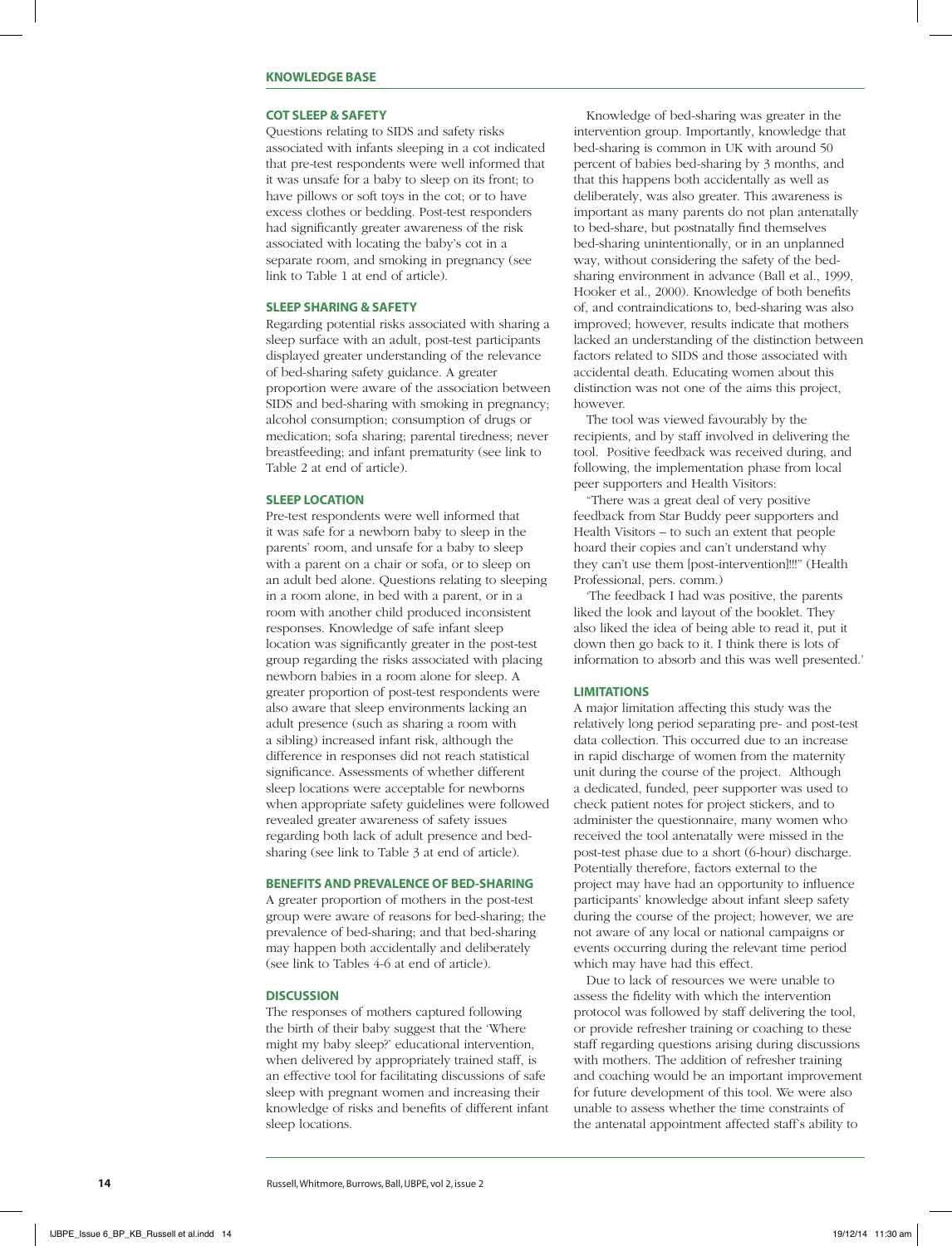#### **KNOWLEDGE BASE**

#### **COT SLEEP & SAFETY**

Questions relating to SIDS and safety risks associated with infants sleeping in a cot indicated that pre-test respondents were well informed that it was unsafe for a baby to sleep on its front; to have pillows or soft toys in the cot; or to have excess clothes or bedding. Post-test responders had significantly greater awareness of the risk associated with locating the baby's cot in a separate room, and smoking in pregnancy (see link to Table 1 at end of article).

### **SLEEP SHARING & SAFETY**

Regarding potential risks associated with sharing a sleep surface with an adult, post-test participants displayed greater understanding of the relevance of bed-sharing safety guidance. A greater proportion were aware of the association between SIDS and bed-sharing with smoking in pregnancy; alcohol consumption; consumption of drugs or medication; sofa sharing; parental tiredness; never breastfeeding; and infant prematurity (see link to Table 2 at end of article).

## **SLEEP LOCATION**

Pre-test respondents were well informed that it was safe for a newborn baby to sleep in the parents' room, and unsafe for a baby to sleep with a parent on a chair or sofa, or to sleep on an adult bed alone. Questions relating to sleeping in a room alone, in bed with a parent, or in a room with another child produced inconsistent responses. Knowledge of safe infant sleep location was significantly greater in the post-test group regarding the risks associated with placing newborn babies in a room alone for sleep. A greater proportion of post-test respondents were also aware that sleep environments lacking an adult presence (such as sharing a room with a sibling) increased infant risk, although the difference in responses did not reach statistical significance. Assessments of whether different sleep locations were acceptable for newborns when appropriate safety guidelines were followed revealed greater awareness of safety issues regarding both lack of adult presence and bedsharing (see link to Table 3 at end of article).

#### **BENEFITS AND PREVALENCE OF BED-SHARING**

A greater proportion of mothers in the post-test group were aware of reasons for bed-sharing; the prevalence of bed-sharing; and that bed-sharing may happen both accidentally and deliberately (see link to Tables 4-6 at end of article).

#### **DISCUSSION**

The responses of mothers captured following the birth of their baby suggest that the 'Where might my baby sleep?' educational intervention, when delivered by appropriately trained staff, is an effective tool for facilitating discussions of safe sleep with pregnant women and increasing their knowledge of risks and benefits of different infant sleep locations.

Knowledge of bed-sharing was greater in the intervention group. Importantly, knowledge that bed-sharing is common in UK with around 50 percent of babies bed-sharing by 3 months, and that this happens both accidentally as well as deliberately, was also greater. This awareness is important as many parents do not plan antenatally to bed-share, but postnatally find themselves bed-sharing unintentionally, or in an unplanned way, without considering the safety of the bedsharing environment in advance (Ball et al., 1999, Hooker et al., 2000). Knowledge of both benefits of, and contraindications to, bed-sharing was also improved; however, results indicate that mothers lacked an understanding of the distinction between factors related to SIDS and those associated with accidental death. Educating women about this distinction was not one of the aims this project, however.

The tool was viewed favourably by the recipients, and by staff involved in delivering the tool. Positive feedback was received during, and following, the implementation phase from local peer supporters and Health Visitors:

"There was a great deal of very positive feedback from Star Buddy peer supporters and Health Visitors – to such an extent that people hoard their copies and can't understand why they can't use them [post-intervention]!!!" (Health Professional, pers. comm.)

'The feedback I had was positive, the parents liked the look and layout of the booklet. They also liked the idea of being able to read it, put it down then go back to it. I think there is lots of information to absorb and this was well presented.'

#### **LIMITATIONS**

A major limitation affecting this study was the relatively long period separating pre- and post-test data collection. This occurred due to an increase in rapid discharge of women from the maternity unit during the course of the project. Although a dedicated, funded, peer supporter was used to check patient notes for project stickers, and to administer the questionnaire, many women who received the tool antenatally were missed in the post-test phase due to a short (6-hour) discharge. Potentially therefore, factors external to the project may have had an opportunity to influence participants' knowledge about infant sleep safety during the course of the project; however, we are not aware of any local or national campaigns or events occurring during the relevant time period which may have had this effect.

Due to lack of resources we were unable to assess the fidelity with which the intervention protocol was followed by staff delivering the tool, or provide refresher training or coaching to these staff regarding questions arising during discussions with mothers. The addition of refresher training and coaching would be an important improvement for future development of this tool. We were also unable to assess whether the time constraints of the antenatal appointment affected staff's ability to